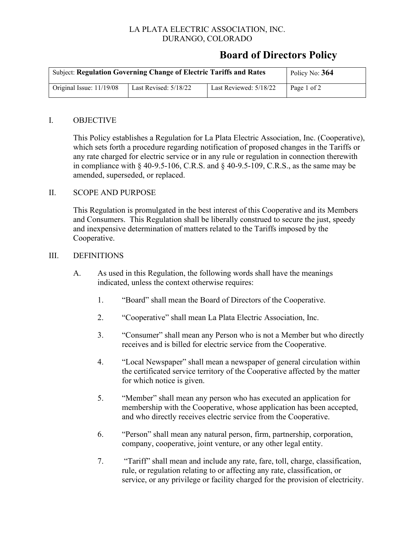## LA PLATA ELECTRIC ASSOCIATION, INC. DURANGO, COLORADO

# **Board of Directors Policy**

| <b>Subject: Regulation Governing Change of Electric Tariffs and Rates</b> | Policy No: 364          |                        |             |
|---------------------------------------------------------------------------|-------------------------|------------------------|-------------|
| Original Issue: 11/19/08                                                  | Last Revised: $5/18/22$ | Last Reviewed: 5/18/22 | Page 1 of 2 |

#### I. OBJECTIVE

This Policy establishes a Regulation for La Plata Electric Association, Inc. (Cooperative), which sets forth a procedure regarding notification of proposed changes in the Tariffs or any rate charged for electric service or in any rule or regulation in connection therewith in compliance with  $\S$  40-9.5-106, C.R.S. and  $\S$  40-9.5-109, C.R.S., as the same may be amended, superseded, or replaced.

### II. SCOPE AND PURPOSE

This Regulation is promulgated in the best interest of this Cooperative and its Members and Consumers. This Regulation shall be liberally construed to secure the just, speedy and inexpensive determination of matters related to the Tariffs imposed by the Cooperative.

#### III. DEFINITIONS

- A. As used in this Regulation, the following words shall have the meanings indicated, unless the context otherwise requires:
	- 1. "Board" shall mean the Board of Directors of the Cooperative.
	- 2. "Cooperative" shall mean La Plata Electric Association, Inc.
	- 3. "Consumer" shall mean any Person who is not a Member but who directly receives and is billed for electric service from the Cooperative.
	- 4. "Local Newspaper" shall mean a newspaper of general circulation within the certificated service territory of the Cooperative affected by the matter for which notice is given.
	- 5. "Member" shall mean any person who has executed an application for membership with the Cooperative, whose application has been accepted, and who directly receives electric service from the Cooperative.
	- 6. "Person" shall mean any natural person, firm, partnership, corporation, company, cooperative, joint venture, or any other legal entity.
	- 7. "Tariff" shall mean and include any rate, fare, toll, charge, classification, rule, or regulation relating to or affecting any rate, classification, or service, or any privilege or facility charged for the provision of electricity.